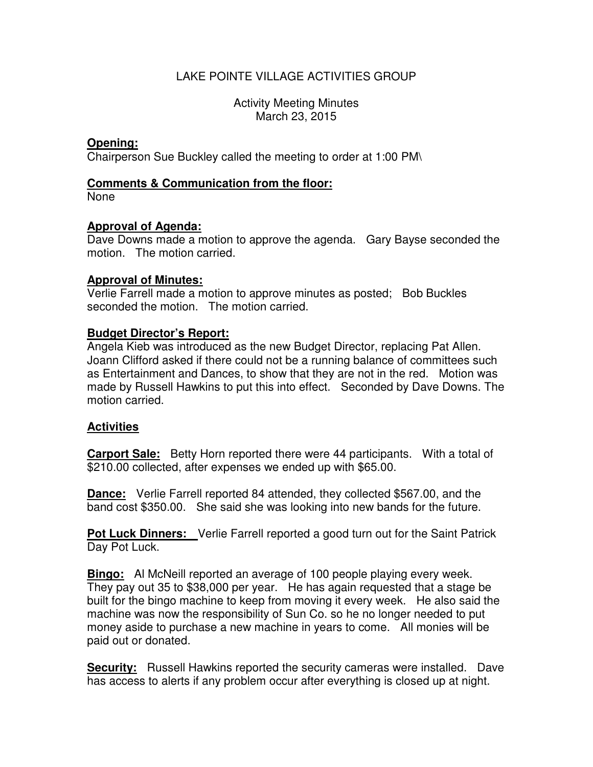# LAKE POINTE VILLAGE ACTIVITIES GROUP

Activity Meeting Minutes March 23, 2015

# **Opening:**

Chairperson Sue Buckley called the meeting to order at 1:00 PM\

## **Comments & Communication from the floor:**

None

## **Approval of Agenda:**

Dave Downs made a motion to approve the agenda. Gary Bayse seconded the motion. The motion carried.

#### **Approval of Minutes:**

Verlie Farrell made a motion to approve minutes as posted; Bob Buckles seconded the motion. The motion carried.

## **Budget Director's Report:**

Angela Kieb was introduced as the new Budget Director, replacing Pat Allen. Joann Clifford asked if there could not be a running balance of committees such as Entertainment and Dances, to show that they are not in the red. Motion was made by Russell Hawkins to put this into effect. Seconded by Dave Downs. The motion carried.

#### **Activities**

**Carport Sale:** Betty Horn reported there were 44 participants. With a total of \$210.00 collected, after expenses we ended up with \$65.00.

**Dance:** Verlie Farrell reported 84 attended, they collected \$567.00, and the band cost \$350.00. She said she was looking into new bands for the future.

**Pot Luck Dinners:** Verlie Farrell reported a good turn out for the Saint Patrick Day Pot Luck.

**Bingo:** Al McNeill reported an average of 100 people playing every week. They pay out 35 to \$38,000 per year. He has again requested that a stage be built for the bingo machine to keep from moving it every week. He also said the machine was now the responsibility of Sun Co. so he no longer needed to put money aside to purchase a new machine in years to come. All monies will be paid out or donated.

**Security:** Russell Hawkins reported the security cameras were installed. Dave has access to alerts if any problem occur after everything is closed up at night.